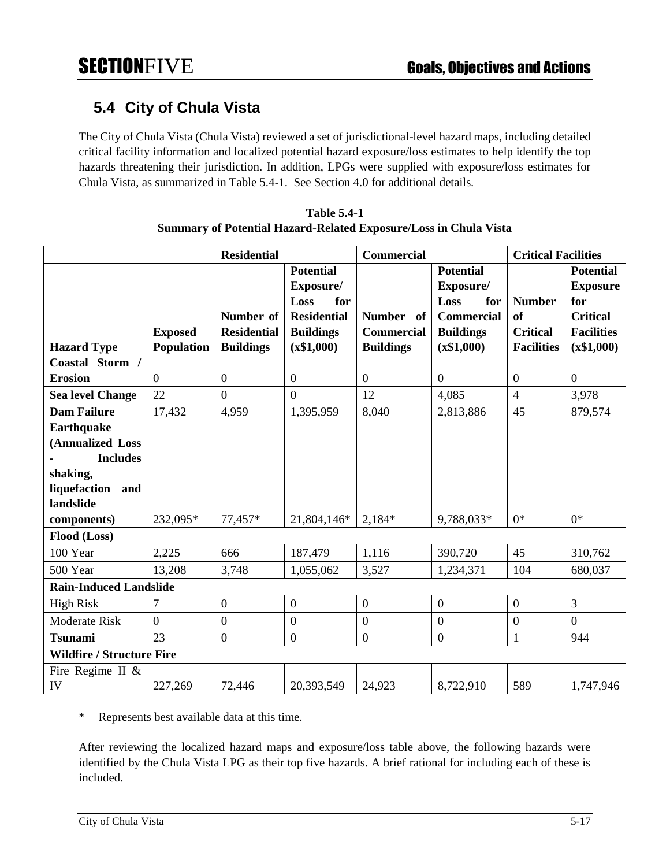## **5.4 City of Chula Vista**

The City of Chula Vista (Chula Vista) reviewed a set of jurisdictional-level hazard maps, including detailed critical facility information and localized potential hazard exposure/loss estimates to help identify the top hazards threatening their jurisdiction. In addition, LPGs were supplied with exposure/loss estimates for Chula Vista, as summarized in Table 5.4-1. See Section 4.0 for additional details.

|                                  |                | <b>Residential</b> |                    | <b>Commercial</b> |                   | <b>Critical Facilities</b> |                   |
|----------------------------------|----------------|--------------------|--------------------|-------------------|-------------------|----------------------------|-------------------|
|                                  |                |                    | <b>Potential</b>   |                   | <b>Potential</b>  |                            | <b>Potential</b>  |
|                                  |                |                    | Exposure/          |                   | Exposure/         |                            | <b>Exposure</b>   |
|                                  |                |                    | for<br>Loss        |                   | Loss<br>for       | <b>Number</b>              | for               |
|                                  |                | Number of          | <b>Residential</b> | Number of         | <b>Commercial</b> | <b>of</b>                  | <b>Critical</b>   |
|                                  | <b>Exposed</b> | <b>Residential</b> | <b>Buildings</b>   | <b>Commercial</b> | <b>Buildings</b>  | <b>Critical</b>            | <b>Facilities</b> |
| <b>Hazard Type</b>               | Population     | <b>Buildings</b>   | (x\$1,000)         | <b>Buildings</b>  | (x\$1,000)        | <b>Facilities</b>          | (x\$1,000)        |
| Coastal Storm /                  |                |                    |                    |                   |                   |                            |                   |
| <b>Erosion</b>                   | $\overline{0}$ | $\boldsymbol{0}$   | $\boldsymbol{0}$   | $\overline{0}$    | $\overline{0}$    | $\overline{0}$             | $\boldsymbol{0}$  |
| <b>Sea level Change</b>          | 22             | $\overline{0}$     | $\overline{0}$     | 12                | 4,085             | $\overline{4}$             | 3,978             |
| <b>Dam Failure</b>               | 17,432         | 4,959              | 1,395,959          | 8,040             | 2,813,886         | 45                         | 879,574           |
| <b>Earthquake</b>                |                |                    |                    |                   |                   |                            |                   |
| (Annualized Loss                 |                |                    |                    |                   |                   |                            |                   |
| <b>Includes</b>                  |                |                    |                    |                   |                   |                            |                   |
| shaking,                         |                |                    |                    |                   |                   |                            |                   |
| liquefaction and                 |                |                    |                    |                   |                   |                            |                   |
| landslide                        |                |                    |                    |                   |                   |                            |                   |
| components)                      | 232,095*       | 77,457*            | 21,804,146*        | 2,184*            | 9,788,033*        | $0*$                       | $0*$              |
| Flood (Loss)                     |                |                    |                    |                   |                   |                            |                   |
| 100 Year                         | 2,225          | 666                | 187,479            | 1,116             | 390,720           | 45                         | 310,762           |
| 500 Year                         | 13,208         | 3,748              | 1,055,062          | 3,527             | 1,234,371         | 104                        | 680,037           |
| <b>Rain-Induced Landslide</b>    |                |                    |                    |                   |                   |                            |                   |
| <b>High Risk</b>                 | 7              | $\boldsymbol{0}$   | $\boldsymbol{0}$   | $\boldsymbol{0}$  | $\boldsymbol{0}$  | $\overline{0}$             | $\mathfrak{Z}$    |
| <b>Moderate Risk</b>             | $\overline{0}$ | $\boldsymbol{0}$   | $\boldsymbol{0}$   | $\boldsymbol{0}$  | $\boldsymbol{0}$  | $\boldsymbol{0}$           | $\overline{0}$    |
| <b>Tsunami</b>                   | 23             | $\overline{0}$     | $\boldsymbol{0}$   | $\overline{0}$    | $\overline{0}$    | $\mathbf{1}$               | 944               |
| <b>Wildfire / Structure Fire</b> |                |                    |                    |                   |                   |                            |                   |
| Fire Regime II &                 |                |                    |                    |                   |                   |                            |                   |
| IV                               | 227,269        | 72,446             | 20,393,549         | 24,923            | 8,722,910         | 589                        | 1,747,946         |

| <b>Table 5.4-1</b>                                                      |
|-------------------------------------------------------------------------|
| <b>Summary of Potential Hazard-Related Exposure/Loss in Chula Vista</b> |

\* Represents best available data at this time.

After reviewing the localized hazard maps and exposure/loss table above, the following hazards were identified by the Chula Vista LPG as their top five hazards. A brief rational for including each of these is included.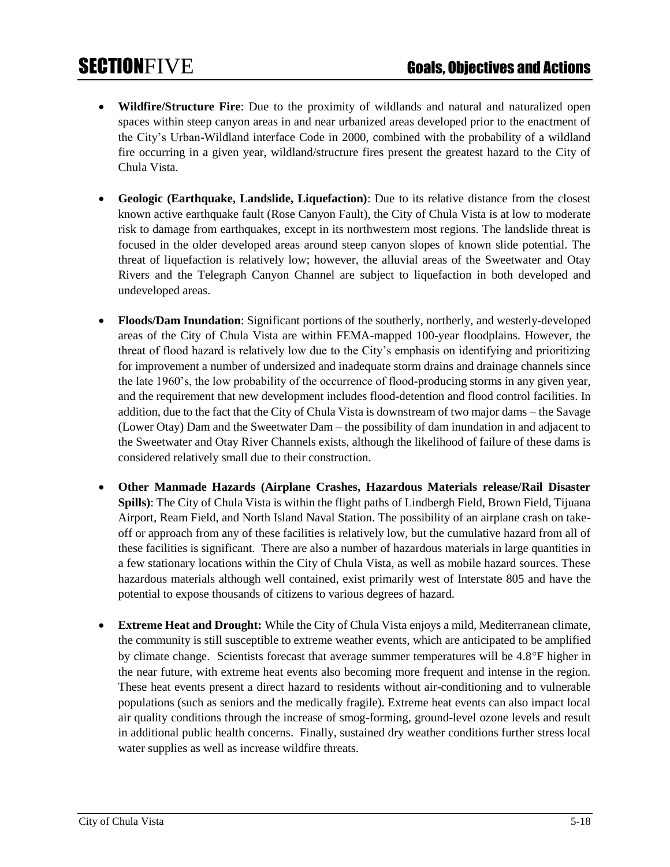- **Wildfire/Structure Fire**: Due to the proximity of wildlands and natural and naturalized open spaces within steep canyon areas in and near urbanized areas developed prior to the enactment of the City's Urban-Wildland interface Code in 2000, combined with the probability of a wildland fire occurring in a given year, wildland/structure fires present the greatest hazard to the City of Chula Vista.
- **Geologic (Earthquake, Landslide, Liquefaction)**: Due to its relative distance from the closest known active earthquake fault (Rose Canyon Fault), the City of Chula Vista is at low to moderate risk to damage from earthquakes, except in its northwestern most regions. The landslide threat is focused in the older developed areas around steep canyon slopes of known slide potential. The threat of liquefaction is relatively low; however, the alluvial areas of the Sweetwater and Otay Rivers and the Telegraph Canyon Channel are subject to liquefaction in both developed and undeveloped areas.
- **Floods/Dam Inundation**: Significant portions of the southerly, northerly, and westerly-developed areas of the City of Chula Vista are within FEMA-mapped 100-year floodplains. However, the threat of flood hazard is relatively low due to the City's emphasis on identifying and prioritizing for improvement a number of undersized and inadequate storm drains and drainage channels since the late 1960's, the low probability of the occurrence of flood-producing storms in any given year, and the requirement that new development includes flood-detention and flood control facilities. In addition, due to the fact that the City of Chula Vista is downstream of two major dams – the Savage (Lower Otay) Dam and the Sweetwater Dam – the possibility of dam inundation in and adjacent to the Sweetwater and Otay River Channels exists, although the likelihood of failure of these dams is considered relatively small due to their construction.
- **Other Manmade Hazards (Airplane Crashes, Hazardous Materials release/Rail Disaster Spills)**: The City of Chula Vista is within the flight paths of Lindbergh Field, Brown Field, Tijuana Airport, Ream Field, and North Island Naval Station. The possibility of an airplane crash on takeoff or approach from any of these facilities is relatively low, but the cumulative hazard from all of these facilities is significant. There are also a number of hazardous materials in large quantities in a few stationary locations within the City of Chula Vista, as well as mobile hazard sources. These hazardous materials although well contained, exist primarily west of Interstate 805 and have the potential to expose thousands of citizens to various degrees of hazard.
- **Extreme Heat and Drought:** While the City of Chula Vista enjoys a mild, Mediterranean climate, the community is still susceptible to extreme weather events, which are anticipated to be amplified by climate change. Scientists forecast that average summer temperatures will be  $4.8^{\circ}$ F higher in the near future, with extreme heat events also becoming more frequent and intense in the region. These heat events present a direct hazard to residents without air-conditioning and to vulnerable populations (such as seniors and the medically fragile). Extreme heat events can also impact local air quality conditions through the increase of smog-forming, ground-level ozone levels and result in additional public health concerns. Finally, sustained dry weather conditions further stress local water supplies as well as increase wildfire threats.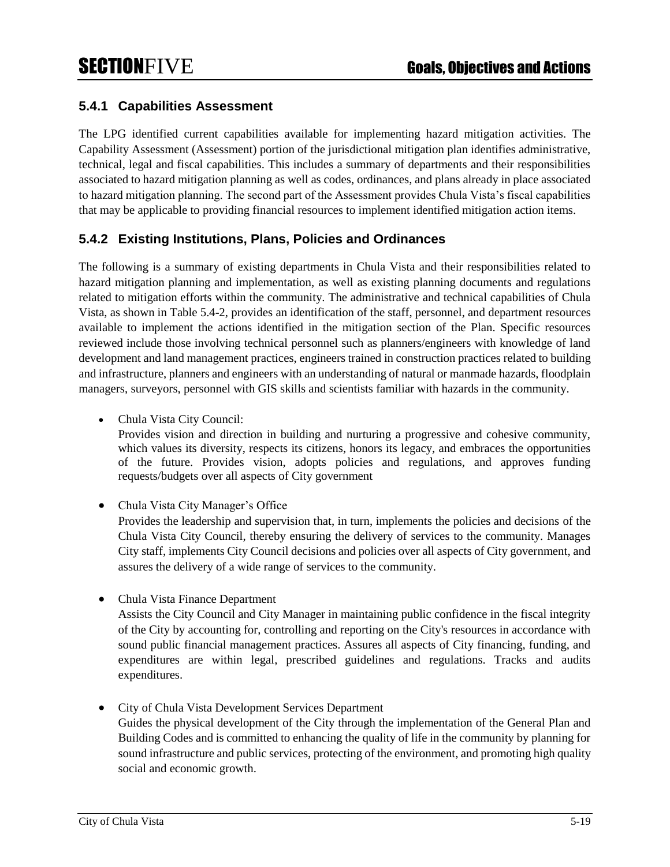### **5.4.1 Capabilities Assessment**

The LPG identified current capabilities available for implementing hazard mitigation activities. The Capability Assessment (Assessment) portion of the jurisdictional mitigation plan identifies administrative, technical, legal and fiscal capabilities. This includes a summary of departments and their responsibilities associated to hazard mitigation planning as well as codes, ordinances, and plans already in place associated to hazard mitigation planning. The second part of the Assessment provides Chula Vista's fiscal capabilities that may be applicable to providing financial resources to implement identified mitigation action items.

### **5.4.2 Existing Institutions, Plans, Policies and Ordinances**

The following is a summary of existing departments in Chula Vista and their responsibilities related to hazard mitigation planning and implementation, as well as existing planning documents and regulations related to mitigation efforts within the community. The administrative and technical capabilities of Chula Vista, as shown in Table 5.4-2, provides an identification of the staff, personnel, and department resources available to implement the actions identified in the mitigation section of the Plan. Specific resources reviewed include those involving technical personnel such as planners/engineers with knowledge of land development and land management practices, engineers trained in construction practices related to building and infrastructure, planners and engineers with an understanding of natural or manmade hazards, floodplain managers, surveyors, personnel with GIS skills and scientists familiar with hazards in the community.

• Chula Vista City Council:

Provides vision and direction in building and nurturing a progressive and cohesive community, which values its diversity, respects its citizens, honors its legacy, and embraces the opportunities of the future. Provides vision, adopts policies and regulations, and approves funding requests/budgets over all aspects of City government

• Chula Vista City Manager's Office

Provides the leadership and supervision that, in turn, implements the policies and decisions of the Chula Vista City Council, thereby ensuring the delivery of services to the community. Manages City staff, implements City Council decisions and policies over all aspects of City government, and assures the delivery of a wide range of services to the community.

• Chula Vista Finance Department

Assists the City Council and City Manager in maintaining public confidence in the fiscal integrity of the City by accounting for, controlling and reporting on the City's resources in accordance with sound public financial management practices. Assures all aspects of City financing, funding, and expenditures are within legal, prescribed guidelines and regulations. Tracks and audits expenditures.

• City of Chula Vista Development Services Department Guides the physical development of the City through the implementation of the General Plan and Building Codes and is committed to enhancing the quality of life in the community by planning for sound infrastructure and public services, protecting of the environment, and promoting high quality social and economic growth.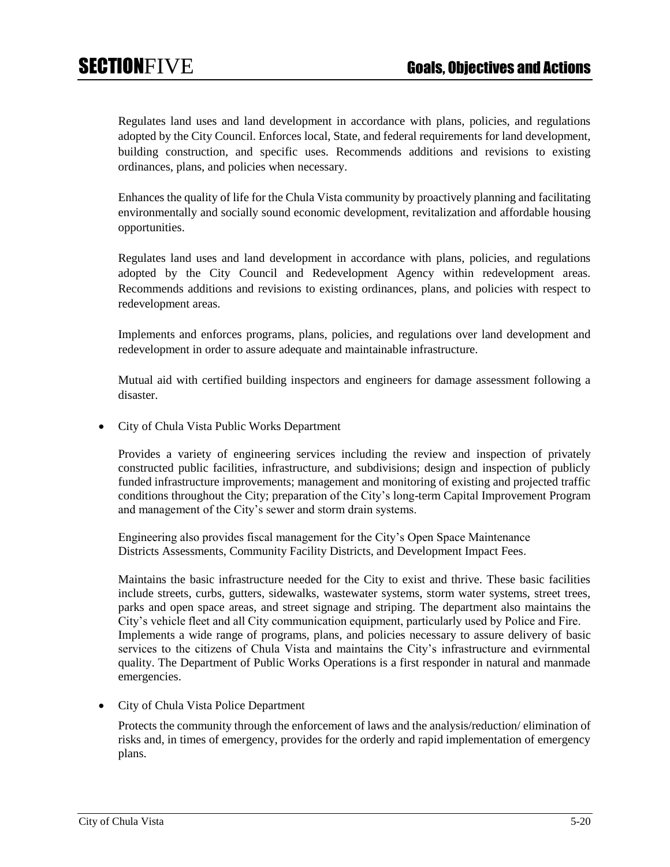Regulates land uses and land development in accordance with plans, policies, and regulations adopted by the City Council. Enforces local, State, and federal requirements for land development, building construction, and specific uses. Recommends additions and revisions to existing ordinances, plans, and policies when necessary.

Enhances the quality of life for the Chula Vista community by proactively planning and facilitating environmentally and socially sound economic development, revitalization and affordable housing opportunities.

Regulates land uses and land development in accordance with plans, policies, and regulations adopted by the City Council and Redevelopment Agency within redevelopment areas. Recommends additions and revisions to existing ordinances, plans, and policies with respect to redevelopment areas.

Implements and enforces programs, plans, policies, and regulations over land development and redevelopment in order to assure adequate and maintainable infrastructure.

Mutual aid with certified building inspectors and engineers for damage assessment following a disaster.

• City of Chula Vista Public Works Department

Provides a variety of engineering services including the review and inspection of privately constructed public facilities, infrastructure, and subdivisions; design and inspection of publicly funded infrastructure improvements; management and monitoring of existing and projected traffic conditions throughout the City; preparation of the City's long-term Capital Improvement Program and management of the City's sewer and storm drain systems.

Engineering also provides fiscal management for the City's Open Space Maintenance Districts Assessments, Community Facility Districts, and Development Impact Fees.

Maintains the basic infrastructure needed for the City to exist and thrive. These basic facilities include streets, curbs, gutters, sidewalks, wastewater systems, storm water systems, street trees, parks and open space areas, and street signage and striping. The department also maintains the City's vehicle fleet and all City communication equipment, particularly used by Police and Fire. Implements a wide range of programs, plans, and policies necessary to assure delivery of basic services to the citizens of Chula Vista and maintains the City's infrastructure and evirnmental quality. The Department of Public Works Operations is a first responder in natural and manmade emergencies.

• City of Chula Vista Police Department

Protects the community through the enforcement of laws and the analysis/reduction/ elimination of risks and, in times of emergency, provides for the orderly and rapid implementation of emergency plans.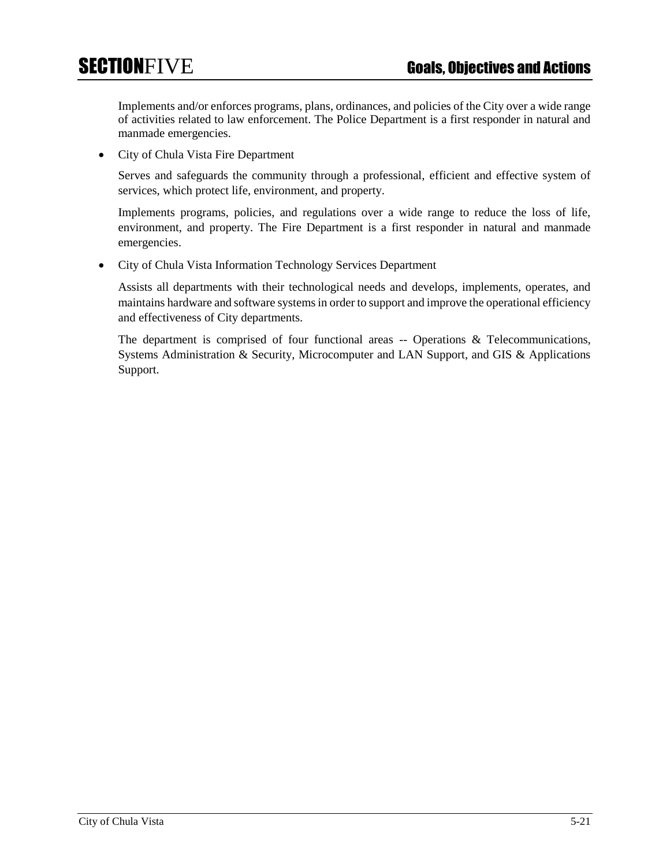Implements and/or enforces programs, plans, ordinances, and policies of the City over a wide range of activities related to law enforcement. The Police Department is a first responder in natural and manmade emergencies.

• City of Chula Vista Fire Department

Serves and safeguards the community through a professional, efficient and effective system of services, which protect life, environment, and property.

Implements programs, policies, and regulations over a wide range to reduce the loss of life, environment, and property. The Fire Department is a first responder in natural and manmade emergencies.

• City of Chula Vista Information Technology Services Department

Assists all departments with their technological needs and develops, implements, operates, and maintains hardware and software systems in order to support and improve the operational efficiency and effectiveness of City departments.

The department is comprised of four functional areas -- Operations & Telecommunications, Systems Administration & Security, Microcomputer and LAN Support, and GIS & Applications Support.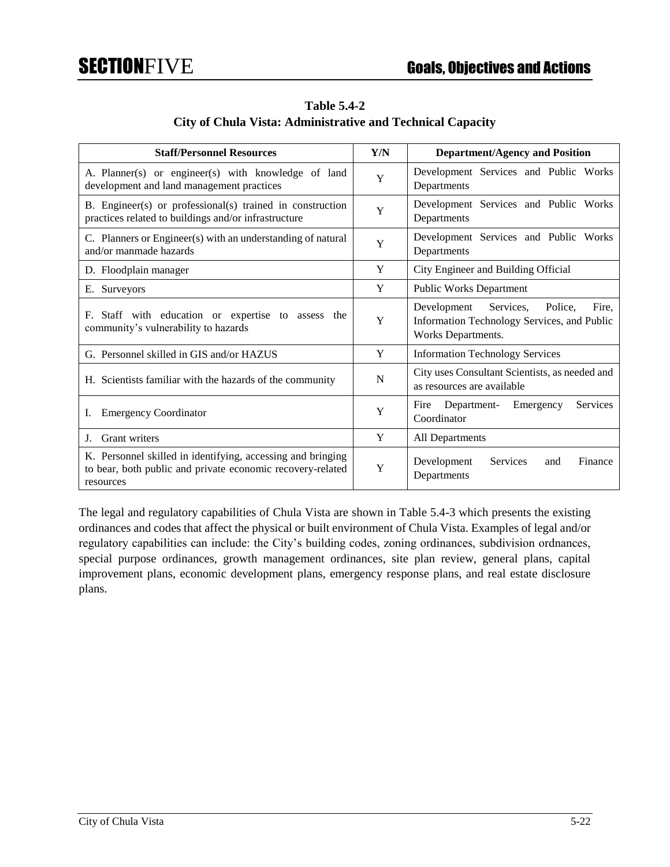| <b>Table 5.4-2</b>                                                |  |  |
|-------------------------------------------------------------------|--|--|
| <b>City of Chula Vista: Administrative and Technical Capacity</b> |  |  |

| <b>Staff/Personnel Resources</b>                                                                                                       | Y/N | <b>Department/Agency and Position</b>                                                                             |
|----------------------------------------------------------------------------------------------------------------------------------------|-----|-------------------------------------------------------------------------------------------------------------------|
| A. Planner(s) or engineer(s) with knowledge of land<br>development and land management practices                                       | Y   | Development Services and Public Works<br>Departments                                                              |
| B. Engineer(s) or professional(s) trained in construction<br>practices related to buildings and/or infrastructure                      | Y   | Development Services and Public Works<br>Departments                                                              |
| C. Planners or Engineer(s) with an understanding of natural<br>and/or manmade hazards                                                  | Y   | Development Services and Public Works<br>Departments                                                              |
| D. Floodplain manager                                                                                                                  | Y   | City Engineer and Building Official                                                                               |
| E. Surveyors                                                                                                                           | Y   | <b>Public Works Department</b>                                                                                    |
| Staff with education or expertise to assess the<br>F.<br>community's vulnerability to hazards                                          | Y   | Development<br>Services,<br>Police.<br>Fire.<br>Information Technology Services, and Public<br>Works Departments. |
| G. Personnel skilled in GIS and/or HAZUS                                                                                               | Y   | <b>Information Technology Services</b>                                                                            |
| H. Scientists familiar with the hazards of the community                                                                               | N   | City uses Consultant Scientists, as needed and<br>as resources are available                                      |
| <b>Emergency Coordinator</b><br>Ι.                                                                                                     | Y   | Services<br>Fire<br>Department-<br>Emergency<br>Coordinator                                                       |
| Grant writers<br>J.                                                                                                                    | Y   | All Departments                                                                                                   |
| K. Personnel skilled in identifying, accessing and bringing<br>to bear, both public and private economic recovery-related<br>resources | Y   | Development<br>Services<br>Finance<br>and<br>Departments                                                          |

The legal and regulatory capabilities of Chula Vista are shown in Table 5.4-3 which presents the existing ordinances and codes that affect the physical or built environment of Chula Vista. Examples of legal and/or regulatory capabilities can include: the City's building codes, zoning ordinances, subdivision ordnances, special purpose ordinances, growth management ordinances, site plan review, general plans, capital improvement plans, economic development plans, emergency response plans, and real estate disclosure plans.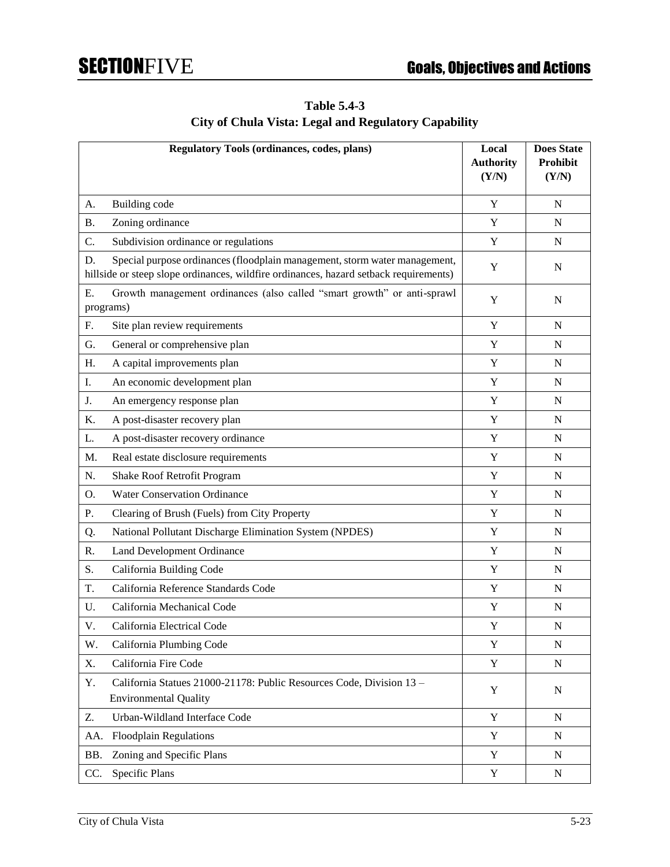# **Table 5.4-3**

## **City of Chula Vista: Legal and Regulatory Capability**

|                 | <b>Regulatory Tools (ordinances, codes, plans)</b>                                                                                                                  | Local<br><b>Authority</b><br>(Y/N) | <b>Does State</b><br>Prohibit<br>(Y/N) |
|-----------------|---------------------------------------------------------------------------------------------------------------------------------------------------------------------|------------------------------------|----------------------------------------|
| A.              | Building code                                                                                                                                                       | Y                                  | N                                      |
| <b>B.</b>       | Zoning ordinance                                                                                                                                                    | Y                                  | N                                      |
| C.              | Subdivision ordinance or regulations                                                                                                                                | $\mathbf Y$                        | $\mathbf N$                            |
| D.              | Special purpose ordinances (floodplain management, storm water management,<br>hillside or steep slope ordinances, wildfire ordinances, hazard setback requirements) | Y                                  | N                                      |
| Ε.<br>programs) | Growth management ordinances (also called "smart growth" or anti-sprawl                                                                                             | Y                                  | N                                      |
| F.              | Site plan review requirements                                                                                                                                       | Y                                  | N                                      |
| G.              | General or comprehensive plan                                                                                                                                       | Y                                  | N                                      |
| Η.              | A capital improvements plan                                                                                                                                         | Y                                  | N                                      |
| I.              | An economic development plan                                                                                                                                        | Y                                  | N                                      |
| J.              | An emergency response plan                                                                                                                                          | Y                                  | N                                      |
| K.              | A post-disaster recovery plan                                                                                                                                       | $\mathbf Y$                        | N                                      |
| L.              | A post-disaster recovery ordinance                                                                                                                                  | $\mathbf Y$                        | $\mathbf N$                            |
| M.              | Real estate disclosure requirements                                                                                                                                 | Y                                  | N                                      |
| N.              | Shake Roof Retrofit Program                                                                                                                                         | Y                                  | N                                      |
| О.              | <b>Water Conservation Ordinance</b>                                                                                                                                 | Y                                  | N                                      |
| Ρ.              | Clearing of Brush (Fuels) from City Property                                                                                                                        | Y                                  | N                                      |
| Q.              | National Pollutant Discharge Elimination System (NPDES)                                                                                                             | Y                                  | N                                      |
| R.              | <b>Land Development Ordinance</b>                                                                                                                                   | $\mathbf Y$                        | N                                      |
| S.              | California Building Code                                                                                                                                            | $\mathbf Y$                        | $\mathbf N$                            |
| T.              | California Reference Standards Code                                                                                                                                 | Y                                  | N                                      |
| U.              | California Mechanical Code                                                                                                                                          | Y                                  | N                                      |
| V.              | California Electrical Code                                                                                                                                          | Y                                  | N                                      |
| W.              | California Plumbing Code                                                                                                                                            | Y                                  | $\mathbf N$                            |
| X.              | California Fire Code                                                                                                                                                | $\mathbf Y$                        | $\mathbf N$                            |
| Y.              | California Statues 21000-21178: Public Resources Code, Division 13 -<br><b>Environmental Quality</b>                                                                | Y                                  | N                                      |
| Z.              | Urban-Wildland Interface Code                                                                                                                                       | Y                                  | $\mathbf N$                            |
| AA.             | <b>Floodplain Regulations</b>                                                                                                                                       | Y                                  | N                                      |
| BB.             | Zoning and Specific Plans                                                                                                                                           | $\mathbf Y$                        | N                                      |
| CC.             | Specific Plans                                                                                                                                                      | $\mathbf Y$                        | ${\bf N}$                              |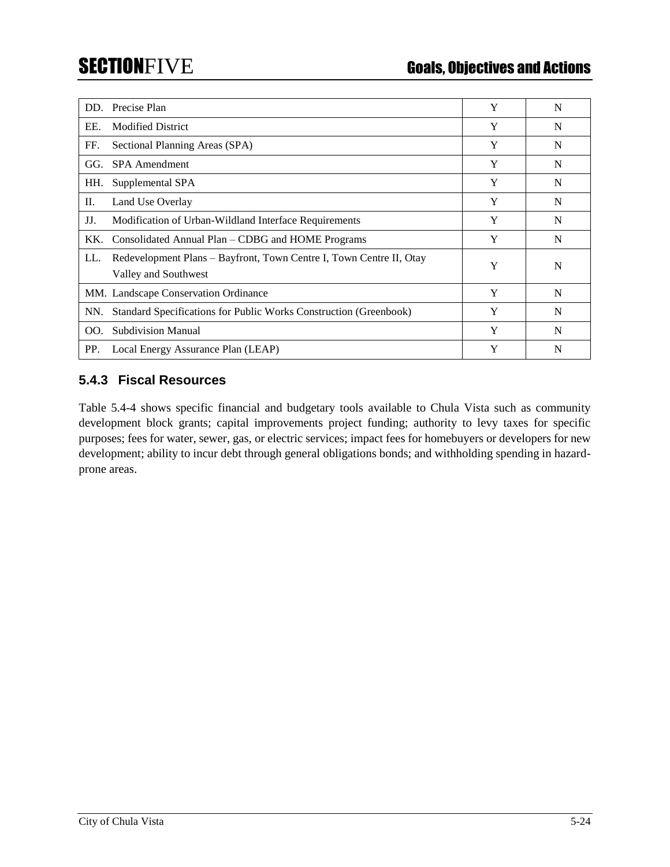| DD. | Precise Plan                                                                                | Y | N |
|-----|---------------------------------------------------------------------------------------------|---|---|
| EE. | <b>Modified District</b>                                                                    | Y | N |
| FF. | Sectional Planning Areas (SPA)                                                              | Y | N |
| GG. | <b>SPA</b> Amendment                                                                        | Y | N |
| HH. | Supplemental SPA                                                                            | Y | N |
| П.  | Land Use Overlay                                                                            | Y | N |
| JJ. | Modification of Urban-Wildland Interface Requirements                                       | Y | N |
| KK. | Consolidated Annual Plan – CDBG and HOME Programs                                           | Y | N |
| LL. | Redevelopment Plans - Bayfront, Town Centre I, Town Centre II, Otay<br>Valley and Southwest | Y | N |
|     | MM. Landscape Conservation Ordinance                                                        | Y | N |
| NN. | Standard Specifications for Public Works Construction (Greenbook)                           | Y | N |
| OO. | <b>Subdivision Manual</b>                                                                   | Y | N |
| PP. | Local Energy Assurance Plan (LEAP)                                                          | Y | N |

### **5.4.3 Fiscal Resources**

Table 5.4-4 shows specific financial and budgetary tools available to Chula Vista such as community development block grants; capital improvements project funding; authority to levy taxes for specific purposes; fees for water, sewer, gas, or electric services; impact fees for homebuyers or developers for new development; ability to incur debt through general obligations bonds; and withholding spending in hazardprone areas.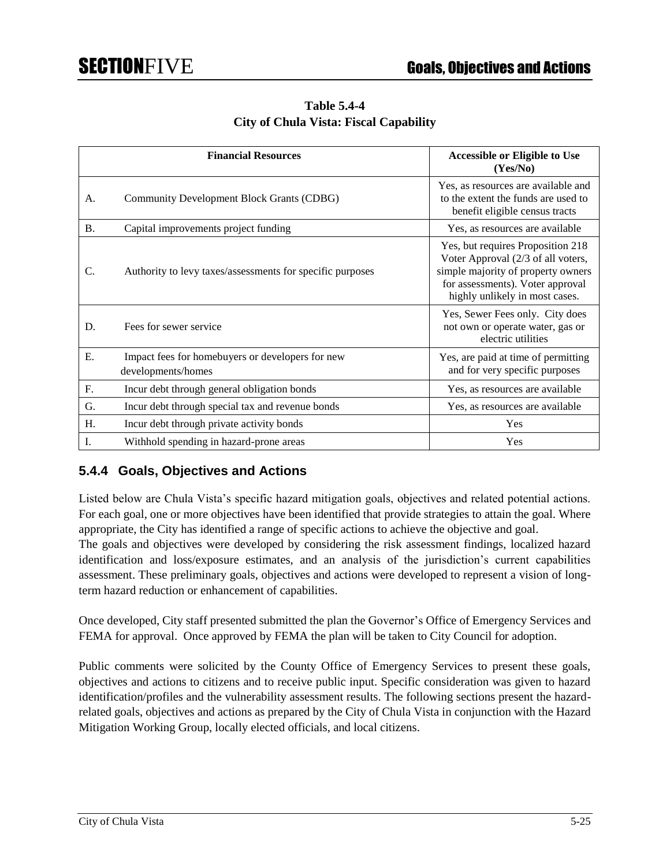**Table 5.4-4 City of Chula Vista: Fiscal Capability**

|           | <b>Financial Resources</b>                                             | <b>Accessible or Eligible to Use</b><br>(Yes/No)                                                                                                                                    |
|-----------|------------------------------------------------------------------------|-------------------------------------------------------------------------------------------------------------------------------------------------------------------------------------|
| А.        | Community Development Block Grants (CDBG)                              | Yes, as resources are available and<br>to the extent the funds are used to<br>benefit eligible census tracts                                                                        |
| <b>B.</b> | Capital improvements project funding                                   | Yes, as resources are available                                                                                                                                                     |
| C.        | Authority to levy taxes/assessments for specific purposes              | Yes, but requires Proposition 218<br>Voter Approval (2/3 of all voters,<br>simple majority of property owners<br>for assessments). Voter approval<br>highly unlikely in most cases. |
| D.        | Fees for sewer service                                                 | Yes, Sewer Fees only. City does<br>not own or operate water, gas or<br>electric utilities                                                                                           |
| Ε.        | Impact fees for homebuyers or developers for new<br>developments/homes | Yes, are paid at time of permitting<br>and for very specific purposes                                                                                                               |
| F.        | Incur debt through general obligation bonds                            | Yes, as resources are available                                                                                                                                                     |
| G.        | Incur debt through special tax and revenue bonds                       | Yes, as resources are available                                                                                                                                                     |
| H.        | Incur debt through private activity bonds                              | Yes                                                                                                                                                                                 |
| I.        | Withhold spending in hazard-prone areas                                | Yes                                                                                                                                                                                 |

### **5.4.4 Goals, Objectives and Actions**

Listed below are Chula Vista's specific hazard mitigation goals, objectives and related potential actions. For each goal, one or more objectives have been identified that provide strategies to attain the goal. Where appropriate, the City has identified a range of specific actions to achieve the objective and goal.

The goals and objectives were developed by considering the risk assessment findings, localized hazard identification and loss/exposure estimates, and an analysis of the jurisdiction's current capabilities assessment. These preliminary goals, objectives and actions were developed to represent a vision of longterm hazard reduction or enhancement of capabilities.

Once developed, City staff presented submitted the plan the Governor's Office of Emergency Services and FEMA for approval. Once approved by FEMA the plan will be taken to City Council for adoption.

Public comments were solicited by the County Office of Emergency Services to present these goals, objectives and actions to citizens and to receive public input. Specific consideration was given to hazard identification/profiles and the vulnerability assessment results. The following sections present the hazardrelated goals, objectives and actions as prepared by the City of Chula Vista in conjunction with the Hazard Mitigation Working Group, locally elected officials, and local citizens.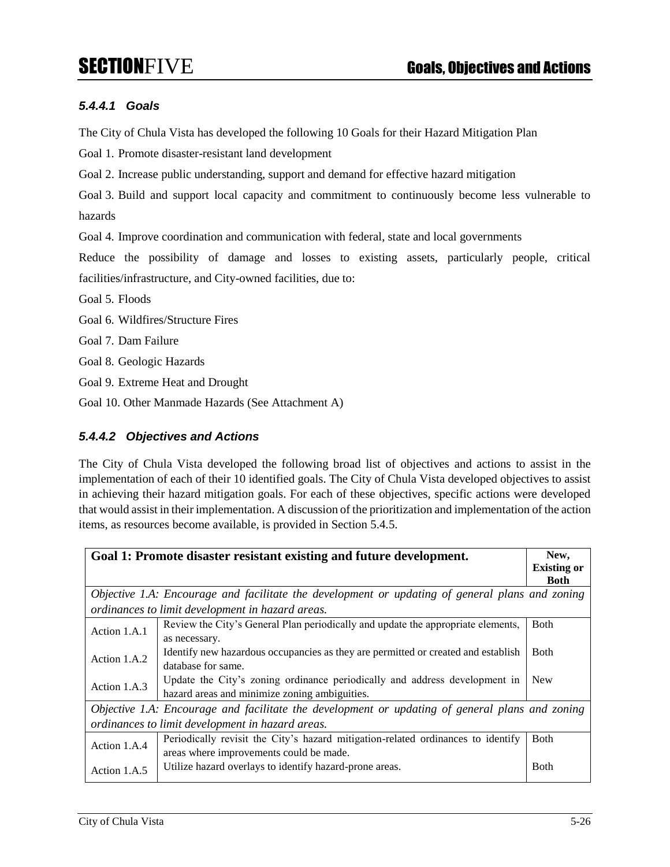### *5.4.4.1 Goals*

The City of Chula Vista has developed the following 10 Goals for their Hazard Mitigation Plan

Goal 1. Promote disaster-resistant land development

Goal 2. Increase public understanding, support and demand for effective hazard mitigation

Goal 3. Build and support local capacity and commitment to continuously become less vulnerable to hazards

Goal 4. Improve coordination and communication with federal, state and local governments

Reduce the possibility of damage and losses to existing assets, particularly people, critical facilities/infrastructure, and City-owned facilities, due to:

- Goal 5. Floods
- Goal 6. Wildfires/Structure Fires
- Goal 7. Dam Failure

Goal 8. Geologic Hazards

Goal 9. Extreme Heat and Drought

Goal 10. Other Manmade Hazards (See Attachment A)

### *5.4.4.2 Objectives and Actions*

The City of Chula Vista developed the following broad list of objectives and actions to assist in the implementation of each of their 10 identified goals. The City of Chula Vista developed objectives to assist in achieving their hazard mitigation goals. For each of these objectives, specific actions were developed that would assist in their implementation. A discussion of the prioritization and implementation of the action items, as resources become available, is provided in Section 5.4.5.

|                                                  | Goal 1: Promote disaster resistant existing and future development.                             | New,               |
|--------------------------------------------------|-------------------------------------------------------------------------------------------------|--------------------|
|                                                  |                                                                                                 | <b>Existing or</b> |
|                                                  |                                                                                                 | <b>Both</b>        |
|                                                  | Objective 1.A: Encourage and facilitate the development or updating of general plans and zoning |                    |
|                                                  | ordinances to limit development in hazard areas.                                                |                    |
| Action 1.A.1                                     | Review the City's General Plan periodically and update the appropriate elements,                | <b>B</b> oth       |
|                                                  | as necessary.                                                                                   |                    |
| Action 1.A.2                                     | Identify new hazardous occupancies as they are permitted or created and establish               | <b>B</b> oth       |
|                                                  | database for same.                                                                              |                    |
| Action 1.A.3                                     | Update the City's zoning ordinance periodically and address development in                      | <b>New</b>         |
|                                                  | hazard areas and minimize zoning ambiguities.                                                   |                    |
|                                                  | Objective 1.A: Encourage and facilitate the development or updating of general plans and zoning |                    |
| ordinances to limit development in hazard areas. |                                                                                                 |                    |
| Action 1.A.4                                     | Periodically revisit the City's hazard mitigation-related ordinances to identify                | <b>B</b> oth       |
|                                                  | areas where improvements could be made.                                                         |                    |
| Action 1.A.5                                     | Utilize hazard overlays to identify hazard-prone areas.                                         | <b>Both</b>        |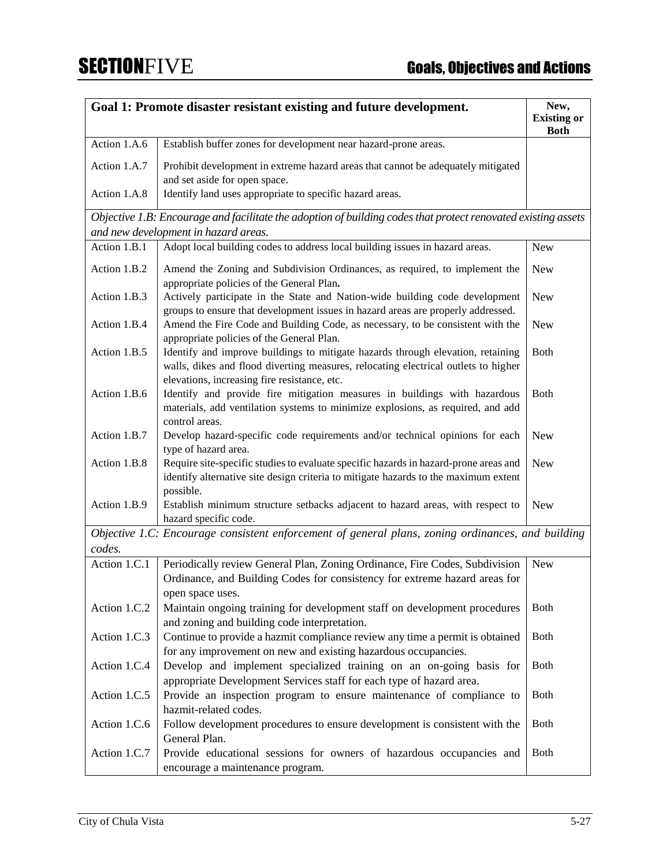|              | Goal 1: Promote disaster resistant existing and future development.                                                                                                                                                   | New,<br><b>Existing or</b><br><b>Both</b> |
|--------------|-----------------------------------------------------------------------------------------------------------------------------------------------------------------------------------------------------------------------|-------------------------------------------|
| Action 1.A.6 | Establish buffer zones for development near hazard-prone areas.                                                                                                                                                       |                                           |
| Action 1.A.7 | Prohibit development in extreme hazard areas that cannot be adequately mitigated<br>and set aside for open space.                                                                                                     |                                           |
| Action 1.A.8 | Identify land uses appropriate to specific hazard areas.                                                                                                                                                              |                                           |
|              | Objective 1.B: Encourage and facilitate the adoption of building codes that protect renovated existing assets                                                                                                         |                                           |
|              | and new development in hazard areas.                                                                                                                                                                                  |                                           |
| Action 1.B.1 | Adopt local building codes to address local building issues in hazard areas.                                                                                                                                          | New                                       |
| Action 1.B.2 | Amend the Zoning and Subdivision Ordinances, as required, to implement the<br>appropriate policies of the General Plan.                                                                                               | <b>New</b>                                |
| Action 1.B.3 | Actively participate in the State and Nation-wide building code development<br>groups to ensure that development issues in hazard areas are properly addressed.                                                       | <b>New</b>                                |
| Action 1.B.4 | Amend the Fire Code and Building Code, as necessary, to be consistent with the<br>appropriate policies of the General Plan.                                                                                           | <b>New</b>                                |
| Action 1.B.5 | Identify and improve buildings to mitigate hazards through elevation, retaining<br>walls, dikes and flood diverting measures, relocating electrical outlets to higher<br>elevations, increasing fire resistance, etc. | Both                                      |
| Action 1.B.6 | Identify and provide fire mitigation measures in buildings with hazardous<br>materials, add ventilation systems to minimize explosions, as required, and add<br>control areas.                                        | <b>Both</b>                               |
| Action 1.B.7 | Develop hazard-specific code requirements and/or technical opinions for each<br>type of hazard area.                                                                                                                  | <b>New</b>                                |
| Action 1.B.8 | Require site-specific studies to evaluate specific hazards in hazard-prone areas and<br>identify alternative site design criteria to mitigate hazards to the maximum extent<br>possible.                              | <b>New</b>                                |
| Action 1.B.9 | Establish minimum structure setbacks adjacent to hazard areas, with respect to<br>hazard specific code.                                                                                                               | <b>New</b>                                |
|              | Objective 1.C: Encourage consistent enforcement of general plans, zoning ordinances, and building                                                                                                                     |                                           |
| codes.       |                                                                                                                                                                                                                       |                                           |
| Action 1.C.1 | Periodically review General Plan, Zoning Ordinance, Fire Codes, Subdivision<br>Ordinance, and Building Codes for consistency for extreme hazard areas for<br>open space uses.                                         | <b>New</b>                                |
| Action 1.C.2 | Maintain ongoing training for development staff on development procedures<br>and zoning and building code interpretation.                                                                                             | <b>Both</b>                               |
| Action 1.C.3 | Continue to provide a hazmit compliance review any time a permit is obtained<br>for any improvement on new and existing hazardous occupancies.                                                                        | <b>Both</b>                               |
| Action 1.C.4 | Develop and implement specialized training on an on-going basis for<br>appropriate Development Services staff for each type of hazard area.                                                                           | <b>Both</b>                               |
| Action 1.C.5 | Provide an inspection program to ensure maintenance of compliance to<br>hazmit-related codes.                                                                                                                         | <b>Both</b>                               |
| Action 1.C.6 | Follow development procedures to ensure development is consistent with the<br>General Plan.                                                                                                                           | Both                                      |
| Action 1.C.7 | Provide educational sessions for owners of hazardous occupancies and<br>encourage a maintenance program.                                                                                                              | <b>Both</b>                               |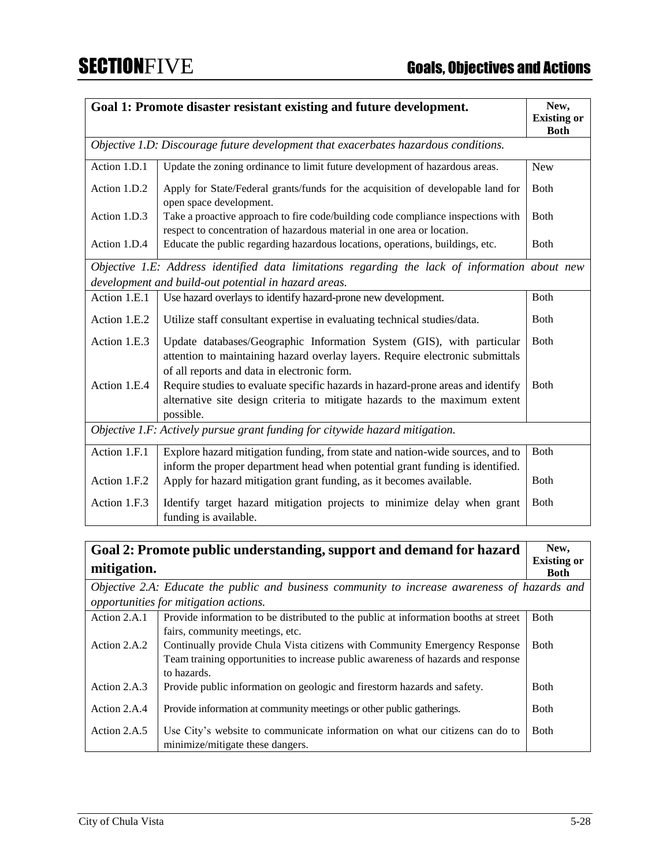|                                                                              | Goal 1: Promote disaster resistant existing and future development.                                                                                                                                   | New,<br><b>Existing or</b><br><b>Both</b> |
|------------------------------------------------------------------------------|-------------------------------------------------------------------------------------------------------------------------------------------------------------------------------------------------------|-------------------------------------------|
|                                                                              | Objective 1.D: Discourage future development that exacerbates hazardous conditions.                                                                                                                   |                                           |
| Action 1.D.1                                                                 | Update the zoning ordinance to limit future development of hazardous areas.                                                                                                                           | <b>New</b>                                |
| Action 1.D.2                                                                 | Apply for State/Federal grants/funds for the acquisition of developable land for<br>open space development.                                                                                           | Both                                      |
| Action 1.D.3                                                                 | Take a proactive approach to fire code/building code compliance inspections with<br>respect to concentration of hazardous material in one area or location.                                           | Both                                      |
| Action 1.D.4                                                                 | Educate the public regarding hazardous locations, operations, buildings, etc.                                                                                                                         | Both                                      |
|                                                                              | Objective 1.E: Address identified data limitations regarding the lack of information about new<br>development and build-out potential in hazard areas.                                                |                                           |
| Action 1.E.1                                                                 | Use hazard overlays to identify hazard-prone new development.                                                                                                                                         | Both                                      |
| Action 1.E.2                                                                 | Utilize staff consultant expertise in evaluating technical studies/data.                                                                                                                              | Both                                      |
| Action 1.E.3                                                                 | Update databases/Geographic Information System (GIS), with particular<br>attention to maintaining hazard overlay layers. Require electronic submittals<br>of all reports and data in electronic form. | Both                                      |
| Action 1.E.4                                                                 | Require studies to evaluate specific hazards in hazard-prone areas and identify<br>alternative site design criteria to mitigate hazards to the maximum extent<br>possible.                            | Both                                      |
| Objective 1.F: Actively pursue grant funding for citywide hazard mitigation. |                                                                                                                                                                                                       |                                           |
| Action 1.F.1                                                                 | Explore hazard mitigation funding, from state and nation-wide sources, and to<br>inform the proper department head when potential grant funding is identified.                                        | <b>Both</b>                               |
| Action 1.F.2                                                                 | Apply for hazard mitigation grant funding, as it becomes available.                                                                                                                                   | <b>B</b> oth                              |
| Action 1.F.3                                                                 | Identify target hazard mitigation projects to minimize delay when grant<br>funding is available.                                                                                                      | <b>Both</b>                               |

| Goal 2: Promote public understanding, support and demand for hazard |                                                                                               |                                   |
|---------------------------------------------------------------------|-----------------------------------------------------------------------------------------------|-----------------------------------|
| mitigation.                                                         |                                                                                               | <b>Existing or</b><br><b>Both</b> |
|                                                                     | Objective 2.A: Educate the public and business community to increase awareness of hazards and |                                   |
|                                                                     | opportunities for mitigation actions.                                                         |                                   |
| Action 2.A.1                                                        | Provide information to be distributed to the public at information booths at street           | <b>B</b> oth                      |
|                                                                     | fairs, community meetings, etc.                                                               |                                   |
| Action 2.A.2                                                        | Continually provide Chula Vista citizens with Community Emergency Response                    | <b>B</b> oth                      |
|                                                                     | Team training opportunities to increase public awareness of hazards and response              |                                   |
|                                                                     | to hazards.                                                                                   |                                   |
| Action 2.A.3                                                        | Provide public information on geologic and firestorm hazards and safety.                      | <b>B</b> oth                      |
| Action 2.A.4                                                        | Provide information at community meetings or other public gatherings.                         | <b>B</b> oth                      |
|                                                                     |                                                                                               |                                   |
| Action 2.A.5                                                        | Use City's website to communicate information on what our citizens can do to                  | <b>B</b> oth                      |
|                                                                     | minimize/mitigate these dangers.                                                              |                                   |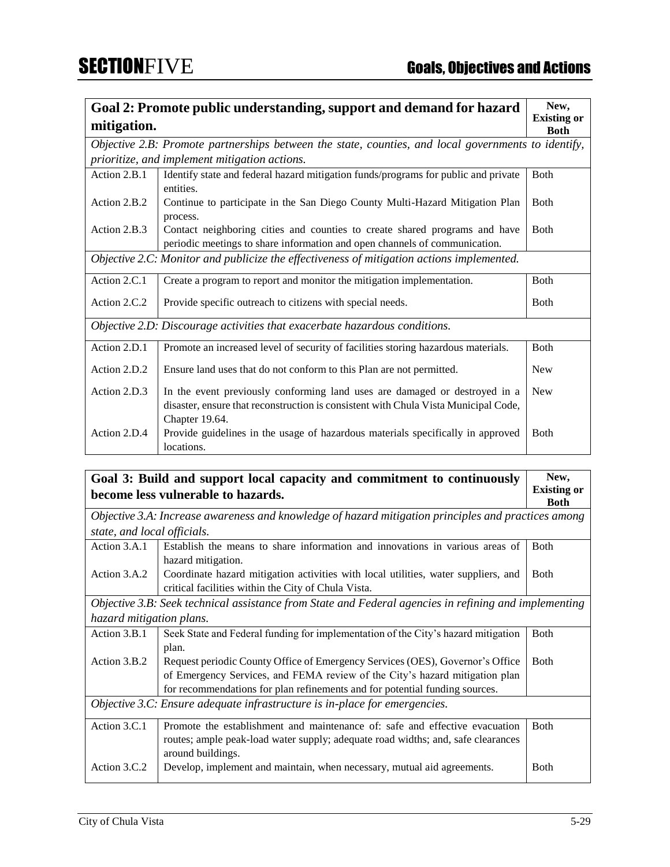|              | Goal 2: Promote public understanding, support and demand for hazard                                                                                                                 | New,                              |
|--------------|-------------------------------------------------------------------------------------------------------------------------------------------------------------------------------------|-----------------------------------|
| mitigation.  |                                                                                                                                                                                     | <b>Existing or</b><br><b>Both</b> |
|              | Objective 2.B: Promote partnerships between the state, counties, and local governments to identify,                                                                                 |                                   |
|              | prioritize, and implement mitigation actions.                                                                                                                                       |                                   |
| Action 2.B.1 | Identify state and federal hazard mitigation funds/programs for public and private<br>entities.                                                                                     | <b>B</b> oth                      |
| Action 2.B.2 | Continue to participate in the San Diego County Multi-Hazard Mitigation Plan<br>process.                                                                                            | Both                              |
| Action 2.B.3 | Contact neighboring cities and counties to create shared programs and have<br>periodic meetings to share information and open channels of communication.                            | <b>B</b> oth                      |
|              | Objective 2.C: Monitor and publicize the effectiveness of mitigation actions implemented.                                                                                           |                                   |
| Action 2.C.1 | Create a program to report and monitor the mitigation implementation.                                                                                                               | <b>B</b> oth                      |
| Action 2.C.2 | Provide specific outreach to citizens with special needs.                                                                                                                           | Both                              |
|              | Objective 2.D: Discourage activities that exacerbate hazardous conditions.                                                                                                          |                                   |
| Action 2.D.1 | Promote an increased level of security of facilities storing hazardous materials.                                                                                                   | <b>B</b> oth                      |
| Action 2.D.2 | Ensure land uses that do not conform to this Plan are not permitted.                                                                                                                | <b>New</b>                        |
| Action 2.D.3 | In the event previously conforming land uses are damaged or destroyed in a<br>disaster, ensure that reconstruction is consistent with Chula Vista Municipal Code,<br>Chapter 19.64. | <b>New</b>                        |
| Action 2.D.4 | Provide guidelines in the usage of hazardous materials specifically in approved<br>locations.                                                                                       | Both                              |

**Goal 3: Build and support local capacity and commitment to continuously become less vulnerable to hazards. New, Existing or Both** *Objective 3.A: Increase awareness and knowledge of hazard mitigation principles and practices among state, and local officials.* Action 3.A.1 Establish the means to share information and innovations in various areas of hazard mitigation. Both Action 3.A.2 Coordinate hazard mitigation activities with local utilities, water suppliers, and critical facilities within the City of Chula Vista. Both *Objective 3.B: Seek technical assistance from State and Federal agencies in refining and implementing hazard mitigation plans.* Action 3.B.1 Seek State and Federal funding for implementation of the City's hazard mitigation plan. Both Action 3.B.2 Request periodic County Office of Emergency Services (OES), Governor's Office of Emergency Services, and FEMA review of the City's hazard mitigation plan for recommendations for plan refinements and for potential funding sources. Both *Objective 3.C: Ensure adequate infrastructure is in-place for emergencies.* Action 3.C.1 Promote the establishment and maintenance of: safe and effective evacuation routes; ample peak-load water supply; adequate road widths; and, safe clearances around buildings. Both Action 3.C.2 Develop, implement and maintain, when necessary, mutual aid agreements. Both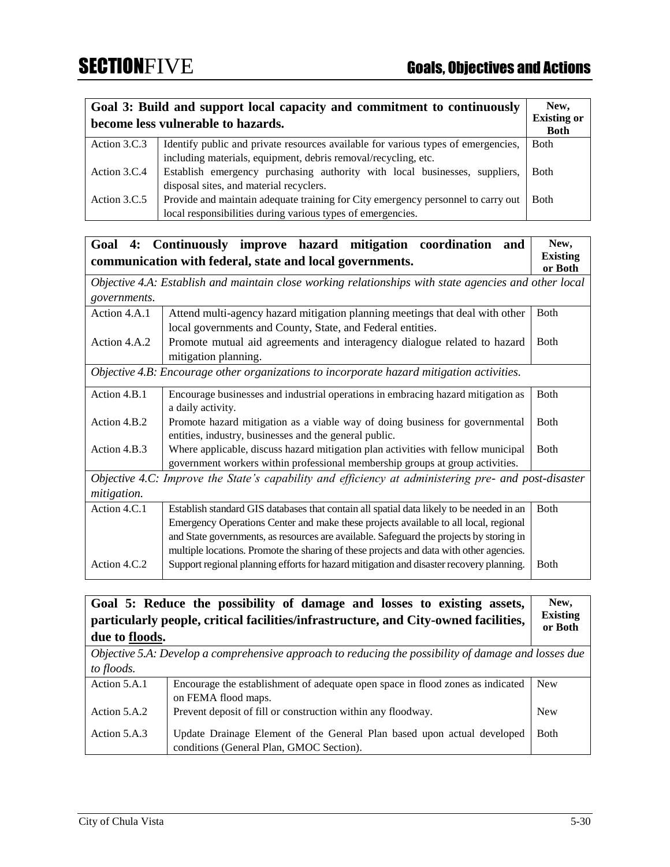| Goal 3: Build and support local capacity and commitment to continuously |                                                                                   | New,               |
|-------------------------------------------------------------------------|-----------------------------------------------------------------------------------|--------------------|
| become less vulnerable to hazards.                                      |                                                                                   | <b>Existing or</b> |
|                                                                         |                                                                                   | <b>Both</b>        |
| Action 3.C.3                                                            | Identify public and private resources available for various types of emergencies, | <b>B</b> oth       |
|                                                                         | including materials, equipment, debris removal/recycling, etc.                    |                    |
| Action 3.C.4                                                            | Establish emergency purchasing authority with local businesses, suppliers,        | <b>B</b> oth       |
|                                                                         | disposal sites, and material recyclers.                                           |                    |
| Action 3.C.5                                                            | Provide and maintain adequate training for City emergency personnel to carry out  | <b>Both</b>        |
|                                                                         | local responsibilities during various types of emergencies.                       |                    |

| 4:<br>Goal   | Continuously improve hazard mitigation coordination<br>and                                                                             | New,                       |
|--------------|----------------------------------------------------------------------------------------------------------------------------------------|----------------------------|
|              | communication with federal, state and local governments.                                                                               | <b>Existing</b><br>or Both |
|              | Objective 4.A: Establish and maintain close working relationships with state agencies and other local                                  |                            |
| governments. |                                                                                                                                        |                            |
| Action 4.A.1 | Attend multi-agency hazard mitigation planning meetings that deal with other                                                           | <b>Both</b>                |
|              | local governments and County, State, and Federal entities.                                                                             |                            |
| Action 4.A.2 | Promote mutual aid agreements and interagency dialogue related to hazard                                                               | <b>Both</b>                |
|              | mitigation planning.                                                                                                                   |                            |
|              | Objective 4.B: Encourage other organizations to incorporate hazard mitigation activities.                                              |                            |
| Action 4.B.1 | Encourage businesses and industrial operations in embracing hazard mitigation as<br>a daily activity.                                  | <b>Both</b>                |
| Action 4.B.2 | Promote hazard mitigation as a viable way of doing business for governmental<br>entities, industry, businesses and the general public. | <b>B</b> oth               |
| Action 4.B.3 | Where applicable, discuss hazard mitigation plan activities with fellow municipal                                                      | <b>B</b> oth               |
|              | government workers within professional membership groups at group activities.                                                          |                            |
|              | Objective 4.C: Improve the State's capability and efficiency at administering pre- and post-disaster                                   |                            |
| mitigation.  |                                                                                                                                        |                            |
| Action 4.C.1 | Establish standard GIS databases that contain all spatial data likely to be needed in an                                               | <b>Both</b>                |
|              | Emergency Operations Center and make these projects available to all local, regional                                                   |                            |
|              | and State governments, as resources are available. Safeguard the projects by storing in                                                |                            |
|              | multiple locations. Promote the sharing of these projects and data with other agencies.                                                |                            |
| Action 4.C.2 | Support regional planning efforts for hazard mitigation and disaster recovery planning.                                                | <b>B</b> oth               |

| due to floods. | Goal 5: Reduce the possibility of damage and losses to existing assets,<br>particularly people, critical facilities/infrastructure, and City-owned facilities, | New,<br><b>Existing</b><br>or Both |
|----------------|----------------------------------------------------------------------------------------------------------------------------------------------------------------|------------------------------------|
|                | Objective 5.A: Develop a comprehensive approach to reducing the possibility of damage and losses due                                                           |                                    |
| to floods.     |                                                                                                                                                                |                                    |
| Action 5.A.1   | Encourage the establishment of adequate open space in flood zones as indicated<br>on FEMA flood maps.                                                          | <b>New</b>                         |
| Action 5.A.2   | Prevent deposit of fill or construction within any floodway.                                                                                                   | <b>New</b>                         |
| Action 5.A.3   | Update Drainage Element of the General Plan based upon actual developed<br>conditions (General Plan, GMOC Section).                                            | <b>B</b> oth                       |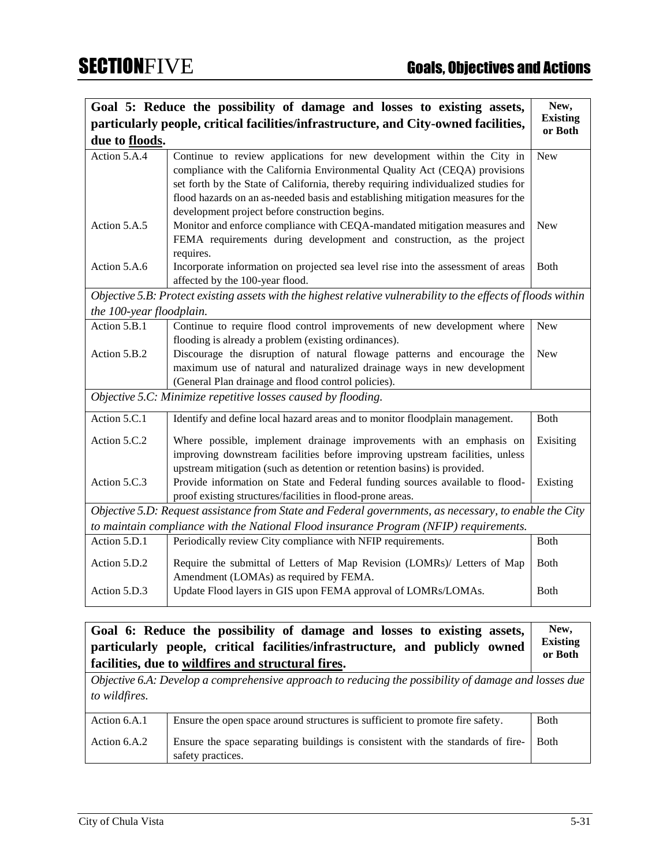|                                                                                       | Goal 5: Reduce the possibility of damage and losses to existing assets,<br>particularly people, critical facilities/infrastructure, and City-owned facilities,                                                                                                                                                                                                                    | New,<br><b>Existing</b><br>or Both |
|---------------------------------------------------------------------------------------|-----------------------------------------------------------------------------------------------------------------------------------------------------------------------------------------------------------------------------------------------------------------------------------------------------------------------------------------------------------------------------------|------------------------------------|
| due to floods.                                                                        |                                                                                                                                                                                                                                                                                                                                                                                   |                                    |
| Action 5.A.4                                                                          | Continue to review applications for new development within the City in<br>compliance with the California Environmental Quality Act (CEQA) provisions<br>set forth by the State of California, thereby requiring individualized studies for<br>flood hazards on an as-needed basis and establishing mitigation measures for the<br>development project before construction begins. | New                                |
| Action 5.A.5                                                                          | Monitor and enforce compliance with CEQA-mandated mitigation measures and<br>FEMA requirements during development and construction, as the project<br>requires.                                                                                                                                                                                                                   | <b>New</b>                         |
| Action 5.A.6                                                                          | Incorporate information on projected sea level rise into the assessment of areas<br>affected by the 100-year flood.                                                                                                                                                                                                                                                               | Both                               |
|                                                                                       | Objective 5.B: Protect existing assets with the highest relative vulnerability to the effects of floods within                                                                                                                                                                                                                                                                    |                                    |
| the 100-year floodplain.                                                              |                                                                                                                                                                                                                                                                                                                                                                                   |                                    |
| Action 5.B.1                                                                          | Continue to require flood control improvements of new development where<br>flooding is already a problem (existing ordinances).                                                                                                                                                                                                                                                   | <b>New</b>                         |
| Action 5.B.2                                                                          | Discourage the disruption of natural flowage patterns and encourage the                                                                                                                                                                                                                                                                                                           | New                                |
|                                                                                       | maximum use of natural and naturalized drainage ways in new development                                                                                                                                                                                                                                                                                                           |                                    |
|                                                                                       | (General Plan drainage and flood control policies).                                                                                                                                                                                                                                                                                                                               |                                    |
| Objective 5.C: Minimize repetitive losses caused by flooding.                         |                                                                                                                                                                                                                                                                                                                                                                                   |                                    |
| Action 5.C.1                                                                          | Identify and define local hazard areas and to monitor floodplain management.                                                                                                                                                                                                                                                                                                      | Both                               |
| Action 5.C.2                                                                          | Where possible, implement drainage improvements with an emphasis on<br>improving downstream facilities before improving upstream facilities, unless<br>upstream mitigation (such as detention or retention basins) is provided.                                                                                                                                                   | Exisiting                          |
| Action 5.C.3                                                                          | Provide information on State and Federal funding sources available to flood-<br>proof existing structures/facilities in flood-prone areas.                                                                                                                                                                                                                                        | Existing                           |
|                                                                                       | Objective 5.D: Request assistance from State and Federal governments, as necessary, to enable the City                                                                                                                                                                                                                                                                            |                                    |
| to maintain compliance with the National Flood insurance Program (NFIP) requirements. |                                                                                                                                                                                                                                                                                                                                                                                   |                                    |
| Action 5.D.1                                                                          | Periodically review City compliance with NFIP requirements.                                                                                                                                                                                                                                                                                                                       | <b>Both</b>                        |
| Action 5.D.2                                                                          | Require the submittal of Letters of Map Revision (LOMRs)/ Letters of Map<br>Amendment (LOMAs) as required by FEMA.                                                                                                                                                                                                                                                                | Both                               |
| Action 5.D.3                                                                          | Update Flood layers in GIS upon FEMA approval of LOMRs/LOMAs.                                                                                                                                                                                                                                                                                                                     | Both                               |

### **Goal 6: Reduce the possibility of damage and losses to existing assets, particularly people, critical facilities/infrastructure, and publicly owned facilities, due to wildfires and structural fires. New, Existing or Both**

*Objective 6.A: Develop a comprehensive approach to reducing the possibility of damage and losses due to wildfires.* Action 6.A.1 Ensure the open space around structures is sufficient to promote fire safety. Both Action 6.A.2 | Ensure the space separating buildings is consistent with the standards of firesafety practices. Both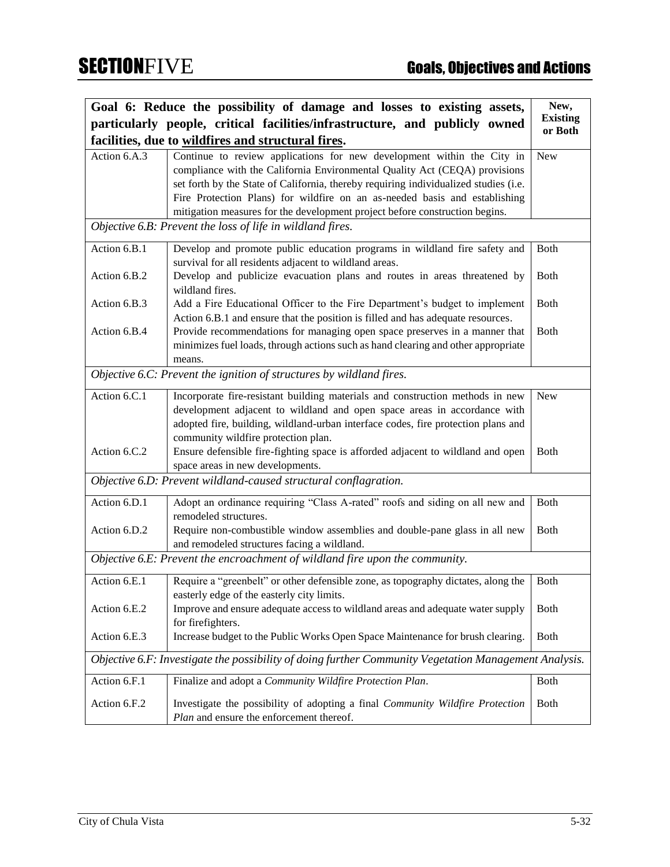|                                                                                                       | Goal 6: Reduce the possibility of damage and losses to existing assets,                                                           | New,<br><b>Existing</b> |
|-------------------------------------------------------------------------------------------------------|-----------------------------------------------------------------------------------------------------------------------------------|-------------------------|
|                                                                                                       | particularly people, critical facilities/infrastructure, and publicly owned<br>facilities, due to wildfires and structural fires. | or Both                 |
| Action 6.A.3                                                                                          | Continue to review applications for new development within the City in                                                            | <b>New</b>              |
|                                                                                                       | compliance with the California Environmental Quality Act (CEQA) provisions                                                        |                         |
|                                                                                                       | set forth by the State of California, thereby requiring individualized studies (i.e.                                              |                         |
|                                                                                                       | Fire Protection Plans) for wildfire on an as-needed basis and establishing                                                        |                         |
|                                                                                                       | mitigation measures for the development project before construction begins.                                                       |                         |
|                                                                                                       | Objective 6.B: Prevent the loss of life in wildland fires.                                                                        |                         |
| Action 6.B.1                                                                                          | Develop and promote public education programs in wildland fire safety and                                                         | Both                    |
|                                                                                                       | survival for all residents adjacent to wildland areas.                                                                            |                         |
| Action 6.B.2                                                                                          | Develop and publicize evacuation plans and routes in areas threatened by<br>wildland fires.                                       | <b>Both</b>             |
| Action 6.B.3                                                                                          | Add a Fire Educational Officer to the Fire Department's budget to implement                                                       | <b>Both</b>             |
|                                                                                                       | Action 6.B.1 and ensure that the position is filled and has adequate resources.                                                   |                         |
| Action 6.B.4                                                                                          | Provide recommendations for managing open space preserves in a manner that                                                        | <b>Both</b>             |
|                                                                                                       | minimizes fuel loads, through actions such as hand clearing and other appropriate                                                 |                         |
|                                                                                                       | means.                                                                                                                            |                         |
|                                                                                                       | Objective 6.C: Prevent the ignition of structures by wildland fires.                                                              |                         |
| Action 6.C.1                                                                                          | Incorporate fire-resistant building materials and construction methods in new                                                     | <b>New</b>              |
|                                                                                                       | development adjacent to wildland and open space areas in accordance with                                                          |                         |
|                                                                                                       | adopted fire, building, wildland-urban interface codes, fire protection plans and                                                 |                         |
|                                                                                                       | community wildfire protection plan.                                                                                               |                         |
| Action 6.C.2                                                                                          | Ensure defensible fire-fighting space is afforded adjacent to wildland and open<br>space areas in new developments.               | <b>B</b> oth            |
| Objective 6.D: Prevent wildland-caused structural conflagration.                                      |                                                                                                                                   |                         |
|                                                                                                       |                                                                                                                                   |                         |
| Action 6.D.1                                                                                          | Adopt an ordinance requiring "Class A-rated" roofs and siding on all new and<br>remodeled structures.                             | Both                    |
| Action 6.D.2                                                                                          | Require non-combustible window assemblies and double-pane glass in all new                                                        | <b>Both</b>             |
|                                                                                                       | and remodeled structures facing a wildland.                                                                                       |                         |
| Objective 6.E: Prevent the encroachment of wildland fire upon the community.                          |                                                                                                                                   |                         |
| Action 6.E.1                                                                                          | Require a "greenbelt" or other defensible zone, as topography dictates, along the                                                 | <b>Both</b>             |
|                                                                                                       | easterly edge of the easterly city limits.                                                                                        |                         |
| Action 6.E.2                                                                                          | Improve and ensure adequate access to wildland areas and adequate water supply                                                    | <b>Both</b>             |
| Action 6.E.3                                                                                          | for firefighters.<br>Increase budget to the Public Works Open Space Maintenance for brush clearing.                               | <b>Both</b>             |
|                                                                                                       |                                                                                                                                   |                         |
| Objective 6.F: Investigate the possibility of doing further Community Vegetation Management Analysis. |                                                                                                                                   |                         |
| Action 6.F.1                                                                                          | Finalize and adopt a Community Wildfire Protection Plan.                                                                          | Both                    |
| Action 6.F.2                                                                                          | Investigate the possibility of adopting a final Community Wildfire Protection                                                     | Both                    |
|                                                                                                       | Plan and ensure the enforcement thereof.                                                                                          |                         |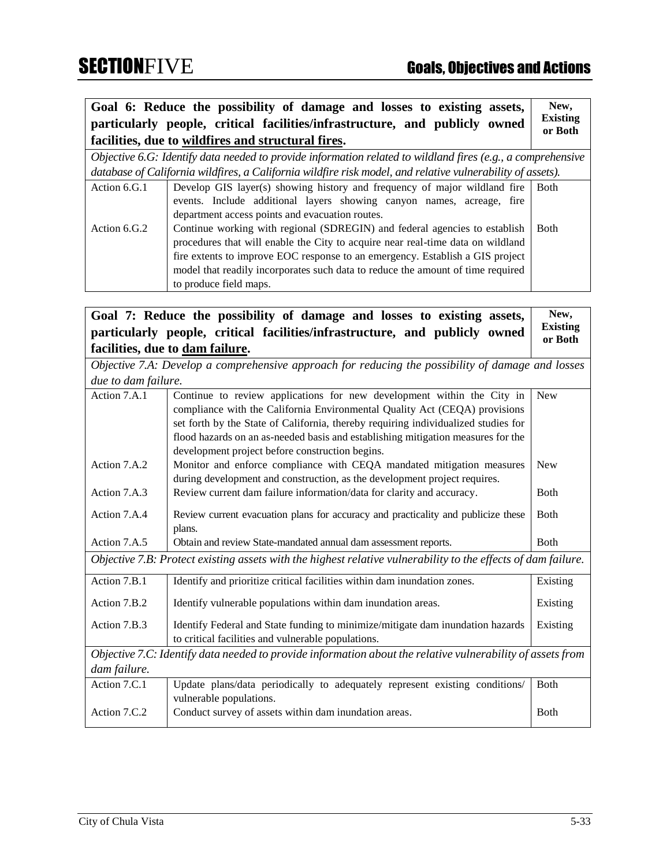**Goal 6: Reduce the possibility of damage and losses to existing assets, particularly people, critical facilities/infrastructure, and publicly owned facilities, due to wildfires and structural fires. New, Existing or Both** *Objective 6.G: Identify data needed to provide information related to wildland fires (e.g., a comprehensive database of California wildfires, a California wildfire risk model, and relative vulnerability of assets).* Action 6.G.1 Develop GIS layer(s) showing history and frequency of major wildland fire events. Include additional layers showing canyon names, acreage, fire department access points and evacuation routes. Both Action 6.G.2 Continue working with regional (SDREGIN) and federal agencies to establish procedures that will enable the City to acquire near real-time data on wildland fire extents to improve EOC response to an emergency. Establish a GIS project model that readily incorporates such data to reduce the amount of time required to produce field maps. Both

**Goal 7: Reduce the possibility of damage and losses to existing assets, particularly people, critical facilities/infrastructure, and publicly owned facilities, due to dam failure. New, Existing or Both**

*Objective 7.A: Develop a comprehensive approach for reducing the possibility of damage and losses due to dam failure.*

| Action 7.A.1                                                                                                  | Continue to review applications for new development within the City in             | <b>New</b>   |
|---------------------------------------------------------------------------------------------------------------|------------------------------------------------------------------------------------|--------------|
|                                                                                                               | compliance with the California Environmental Quality Act (CEQA) provisions         |              |
|                                                                                                               | set forth by the State of California, thereby requiring individualized studies for |              |
|                                                                                                               | flood hazards on an as-needed basis and establishing mitigation measures for the   |              |
|                                                                                                               | development project before construction begins.                                    |              |
| Action 7.A.2                                                                                                  | Monitor and enforce compliance with CEQA mandated mitigation measures              | <b>New</b>   |
|                                                                                                               | during development and construction, as the development project requires.          |              |
| Action 7.A.3                                                                                                  | Review current dam failure information/data for clarity and accuracy.              | <b>Both</b>  |
| Action 7.A.4                                                                                                  | Review current evacuation plans for accuracy and practicality and publicize these  | <b>Both</b>  |
|                                                                                                               | plans.                                                                             |              |
| Action 7.A.5                                                                                                  | Obtain and review State-mandated annual dam assessment reports.                    | <b>Both</b>  |
| Objective 7.B: Protect existing assets with the highest relative vulnerability to the effects of dam failure. |                                                                                    |              |
| Action 7.B.1                                                                                                  | Identify and prioritize critical facilities within dam inundation zones.           | Existing     |
| Action 7.B.2                                                                                                  | Identify vulnerable populations within dam inundation areas.                       | Existing     |
| Action 7.B.3                                                                                                  | Identify Federal and State funding to minimize/mitigate dam inundation hazards     | Existing     |
|                                                                                                               | to critical facilities and vulnerable populations.                                 |              |
| Objective 7.C: Identify data needed to provide information about the relative vulnerability of assets from    |                                                                                    |              |
| dam failure.                                                                                                  |                                                                                    |              |
| Action 7.C.1                                                                                                  | Update plans/data periodically to adequately represent existing conditions/        | <b>Both</b>  |
|                                                                                                               | vulnerable populations.                                                            |              |
| Action 7.C.2                                                                                                  | Conduct survey of assets within dam inundation areas.                              | <b>B</b> oth |
|                                                                                                               |                                                                                    |              |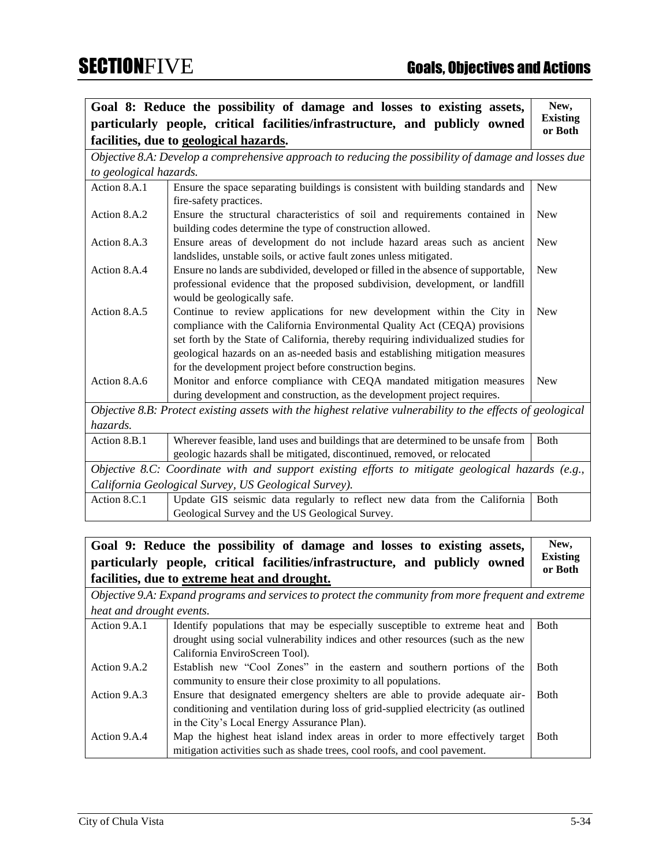|                                                                                                   | Goal 8: Reduce the possibility of damage and losses to existing assets,                                     | New,                       |
|---------------------------------------------------------------------------------------------------|-------------------------------------------------------------------------------------------------------------|----------------------------|
|                                                                                                   | particularly people, critical facilities/infrastructure, and publicly owned                                 | <b>Existing</b><br>or Both |
|                                                                                                   | facilities, due to geological hazards.                                                                      |                            |
|                                                                                                   | Objective 8.A: Develop a comprehensive approach to reducing the possibility of damage and losses due        |                            |
| to geological hazards.                                                                            |                                                                                                             |                            |
| Action 8.A.1                                                                                      | Ensure the space separating buildings is consistent with building standards and                             | <b>New</b>                 |
|                                                                                                   | fire-safety practices.                                                                                      |                            |
| Action 8.A.2                                                                                      | Ensure the structural characteristics of soil and requirements contained in                                 | <b>New</b>                 |
|                                                                                                   | building codes determine the type of construction allowed.                                                  |                            |
| Action 8.A.3                                                                                      | Ensure areas of development do not include hazard areas such as ancient                                     | <b>New</b>                 |
|                                                                                                   | landslides, unstable soils, or active fault zones unless mitigated.                                         |                            |
| Action 8.A.4                                                                                      | Ensure no lands are subdivided, developed or filled in the absence of supportable,                          | <b>New</b>                 |
|                                                                                                   | professional evidence that the proposed subdivision, development, or landfill                               |                            |
|                                                                                                   | would be geologically safe.                                                                                 |                            |
| Action 8.A.5                                                                                      | Continue to review applications for new development within the City in                                      | <b>New</b>                 |
|                                                                                                   | compliance with the California Environmental Quality Act (CEQA) provisions                                  |                            |
|                                                                                                   | set forth by the State of California, thereby requiring individualized studies for                          |                            |
|                                                                                                   | geological hazards on an as-needed basis and establishing mitigation measures                               |                            |
|                                                                                                   | for the development project before construction begins.                                                     |                            |
| Action 8.A.6                                                                                      | Monitor and enforce compliance with CEQA mandated mitigation measures                                       | <b>New</b>                 |
|                                                                                                   | during development and construction, as the development project requires.                                   |                            |
|                                                                                                   | Objective 8.B: Protect existing assets with the highest relative vulnerability to the effects of geological |                            |
| hazards.                                                                                          |                                                                                                             |                            |
| Action 8.B.1                                                                                      | Wherever feasible, land uses and buildings that are determined to be unsafe from                            | Both                       |
|                                                                                                   | geologic hazards shall be mitigated, discontinued, removed, or relocated                                    |                            |
| Objective 8.C: Coordinate with and support existing efforts to mitigate geological hazards (e.g., |                                                                                                             |                            |
| California Geological Survey, US Geological Survey).                                              |                                                                                                             |                            |
| Action 8.C.1                                                                                      | Update GIS seismic data regularly to reflect new data from the California                                   | <b>Both</b>                |
|                                                                                                   | Geological Survey and the US Geological Survey.                                                             |                            |

### **Goal 9: Reduce the possibility of damage and losses to existing assets, particularly people, critical facilities/infrastructure, and publicly owned facilities, due to extreme heat and drought. New, Existing or Both**

*Objective 9.A: Expand programs and services to protect the community from more frequent and extreme heat and drought events.*

| Action 9.A.1 | Identify populations that may be especially susceptible to extreme heat and        | <b>Both</b> |
|--------------|------------------------------------------------------------------------------------|-------------|
|              | drought using social vulnerability indices and other resources (such as the new    |             |
|              | California EnviroScreen Tool).                                                     |             |
| Action 9.A.2 | Establish new "Cool Zones" in the eastern and southern portions of the             | <b>Both</b> |
|              | community to ensure their close proximity to all populations.                      |             |
| Action 9.A.3 | Ensure that designated emergency shelters are able to provide adequate air-        | <b>Both</b> |
|              | conditioning and ventilation during loss of grid-supplied electricity (as outlined |             |
|              | in the City's Local Energy Assurance Plan).                                        |             |
| Action 9.A.4 | Map the highest heat island index areas in order to more effectively target        | <b>Both</b> |
|              | mitigation activities such as shade trees, cool roofs, and cool pavement.          |             |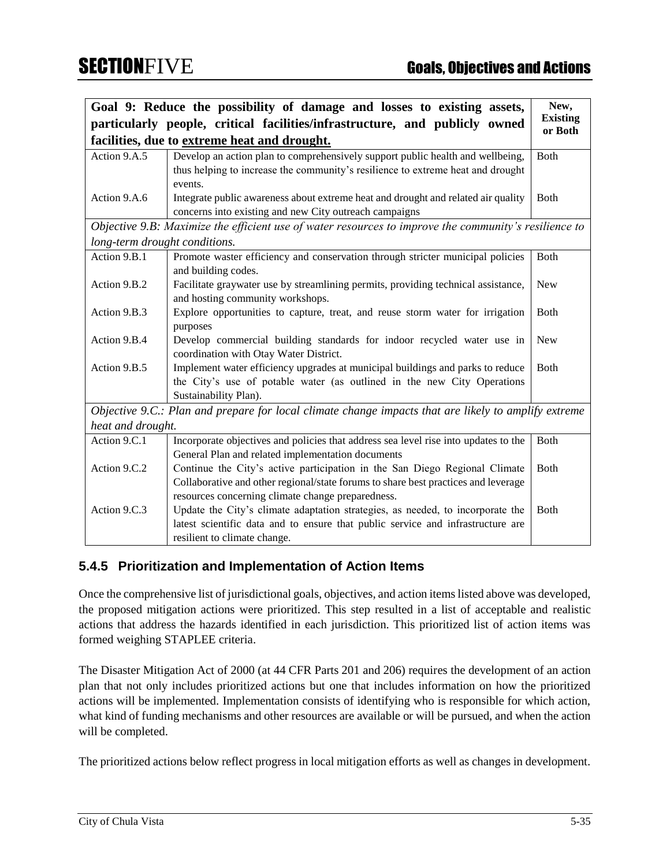|                               | Goal 9: Reduce the possibility of damage and losses to existing assets,                               | New,            |
|-------------------------------|-------------------------------------------------------------------------------------------------------|-----------------|
|                               | particularly people, critical facilities/infrastructure, and publicly owned                           | <b>Existing</b> |
|                               | facilities, due to extreme heat and drought.                                                          | or Both         |
| Action 9.A.5                  | Develop an action plan to comprehensively support public health and wellbeing,                        | Both            |
|                               | thus helping to increase the community's resilience to extreme heat and drought                       |                 |
|                               | events.                                                                                               |                 |
| Action 9.A.6                  | Integrate public awareness about extreme heat and drought and related air quality                     | Both            |
|                               | concerns into existing and new City outreach campaigns                                                |                 |
|                               | Objective 9.B: Maximize the efficient use of water resources to improve the community's resilience to |                 |
| long-term drought conditions. |                                                                                                       |                 |
| Action 9.B.1                  | Promote waster efficiency and conservation through stricter municipal policies                        | Both            |
|                               | and building codes.                                                                                   |                 |
| Action 9.B.2                  | Facilitate graywater use by streamlining permits, providing technical assistance,                     | <b>New</b>      |
|                               | and hosting community workshops.                                                                      |                 |
| Action 9.B.3                  | Explore opportunities to capture, treat, and reuse storm water for irrigation                         | <b>Both</b>     |
|                               | purposes                                                                                              |                 |
| Action 9.B.4                  | Develop commercial building standards for indoor recycled water use in                                | <b>New</b>      |
|                               | coordination with Otay Water District.                                                                |                 |
| Action 9.B.5                  | Implement water efficiency upgrades at municipal buildings and parks to reduce                        | <b>Both</b>     |
|                               | the City's use of potable water (as outlined in the new City Operations                               |                 |
|                               | Sustainability Plan).                                                                                 |                 |
|                               | Objective 9.C.: Plan and prepare for local climate change impacts that are likely to amplify extreme  |                 |
| heat and drought.             |                                                                                                       |                 |
| Action 9.C.1                  | Incorporate objectives and policies that address sea level rise into updates to the                   | Both            |
|                               | General Plan and related implementation documents                                                     |                 |
| Action 9.C.2                  | Continue the City's active participation in the San Diego Regional Climate                            | Both            |
|                               | Collaborative and other regional/state forums to share best practices and leverage                    |                 |
|                               | resources concerning climate change preparedness.                                                     |                 |
| Action 9.C.3                  | Update the City's climate adaptation strategies, as needed, to incorporate the                        | <b>Both</b>     |
|                               | latest scientific data and to ensure that public service and infrastructure are                       |                 |
|                               | resilient to climate change.                                                                          |                 |

### **5.4.5 Prioritization and Implementation of Action Items**

Once the comprehensive list of jurisdictional goals, objectives, and action items listed above was developed, the proposed mitigation actions were prioritized. This step resulted in a list of acceptable and realistic actions that address the hazards identified in each jurisdiction. This prioritized list of action items was formed weighing STAPLEE criteria.

The Disaster Mitigation Act of 2000 (at 44 CFR Parts 201 and 206) requires the development of an action plan that not only includes prioritized actions but one that includes information on how the prioritized actions will be implemented. Implementation consists of identifying who is responsible for which action, what kind of funding mechanisms and other resources are available or will be pursued, and when the action will be completed.

The prioritized actions below reflect progress in local mitigation efforts as well as changes in development.